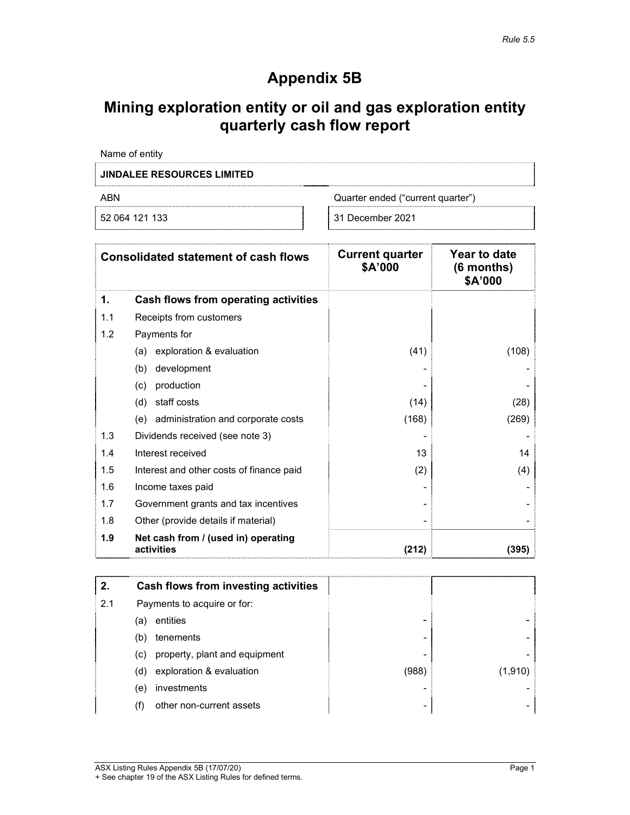# **Appendix 5B**

# **Mining exploration entity or oil and gas exploration entity quarterly cash flow report**

| Name of entity                   |                                   |
|----------------------------------|-----------------------------------|
| <b>INDALEE RESOURCES LIMITED</b> |                                   |
| ARN                              | Quarter ended ("current quarter") |
| 52 064 121 133                   | 31 December 2021                  |

|     | <b>Consolidated statement of cash flows</b>       | <b>Current quarter</b><br>\$A'000 | Year to date<br>(6 months)<br>\$A'000 |
|-----|---------------------------------------------------|-----------------------------------|---------------------------------------|
| 1.  | Cash flows from operating activities              |                                   |                                       |
| 1.1 | Receipts from customers                           |                                   |                                       |
| 1.2 | Payments for                                      |                                   |                                       |
|     | exploration & evaluation<br>(a)                   | (41)                              | (108)                                 |
|     | development<br>(b)                                |                                   |                                       |
|     | production<br>(c)                                 |                                   |                                       |
|     | staff costs<br>(d)                                | (14)                              | (28)                                  |
|     | administration and corporate costs<br>(e)         | (168)                             | (269)                                 |
| 1.3 | Dividends received (see note 3)                   |                                   |                                       |
| 1.4 | Interest received                                 | 13                                | 14                                    |
| 1.5 | Interest and other costs of finance paid          | (2)                               | (4)                                   |
| 1.6 | Income taxes paid                                 |                                   |                                       |
| 1.7 | Government grants and tax incentives              |                                   |                                       |
| 1.8 | Other (provide details if material)               |                                   |                                       |
| 1.9 | Net cash from / (used in) operating<br>activities | (212)                             | (395)                                 |

| 2.  |                             | Cash flows from investing activities |       |         |
|-----|-----------------------------|--------------------------------------|-------|---------|
| 2.1 | Payments to acquire or for: |                                      |       |         |
|     | (a)                         | entities                             |       |         |
|     | (b)                         | tenements                            | -     |         |
|     | (c)                         | property, plant and equipment        |       |         |
|     | (d)                         | exploration & evaluation             | (988) | (1,910) |
|     | (e)                         | investments                          |       |         |
|     | (f)                         | other non-current assets             | ۰     |         |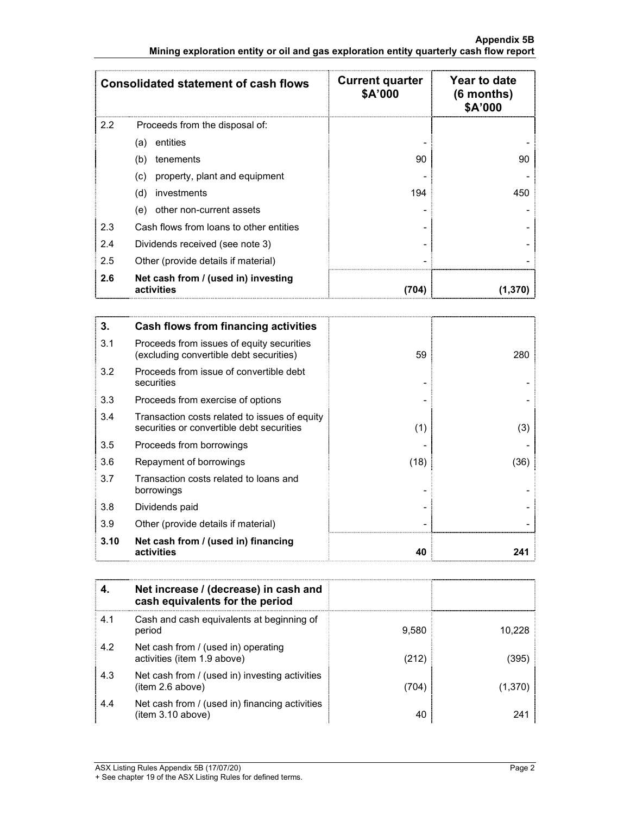### **Appendix 5B Mining exploration entity or oil and gas exploration entity quarterly cash flow report**

| <b>Consolidated statement of cash flows</b> |                                                   | <b>Current quarter</b><br>\$A'000 | Year to date<br>$(6$ months)<br>\$A'000 |
|---------------------------------------------|---------------------------------------------------|-----------------------------------|-----------------------------------------|
| 2.2                                         | Proceeds from the disposal of:                    |                                   |                                         |
|                                             | entities<br>(a)                                   |                                   |                                         |
|                                             | (b)<br>tenements                                  | 90                                | 90                                      |
|                                             | property, plant and equipment<br>(C)              |                                   |                                         |
|                                             | investments<br>(d)                                | 194                               | 450                                     |
|                                             | other non-current assets<br>(e)                   |                                   |                                         |
| 2.3                                         | Cash flows from loans to other entities           |                                   |                                         |
| 2.4                                         | Dividends received (see note 3)                   |                                   |                                         |
| 2.5                                         | Other (provide details if material)               |                                   |                                         |
| 2.6                                         | Net cash from / (used in) investing<br>activities | (704)                             |                                         |

| 3.   | Cash flows from financing activities                                                       |      |      |
|------|--------------------------------------------------------------------------------------------|------|------|
| 3.1  | Proceeds from issues of equity securities<br>(excluding convertible debt securities)       | 59   | 280  |
| 3.2  | Proceeds from issue of convertible debt<br>securities                                      |      |      |
| 3.3  | Proceeds from exercise of options                                                          |      |      |
| 3.4  | Transaction costs related to issues of equity<br>securities or convertible debt securities | (1)  | (3)  |
| 3.5  | Proceeds from borrowings                                                                   |      |      |
| 3.6  | Repayment of borrowings                                                                    | (18) | (36) |
| 3.7  | Transaction costs related to loans and<br>borrowings                                       |      |      |
| 3.8  | Dividends paid                                                                             |      |      |
| 3.9  | Other (provide details if material)                                                        |      |      |
| 3.10 | Net cash from / (used in) financing<br>activities                                          | 40   | 241  |

|     | Net increase / (decrease) in cash and<br>cash equivalents for the period |       |        |
|-----|--------------------------------------------------------------------------|-------|--------|
| 4.1 | Cash and cash equivalents at beginning of<br>period                      | 9.580 | 10.228 |
| 4.2 | Net cash from / (used in) operating<br>activities (item 1.9 above)       | (212) | (395)  |
| 4.3 | Net cash from / (used in) investing activities<br>(item 2.6 above)       | (704) | (1,370 |
| 4.4 | Net cash from / (used in) financing activities<br>(item 3.10 above)      | 40    | 241    |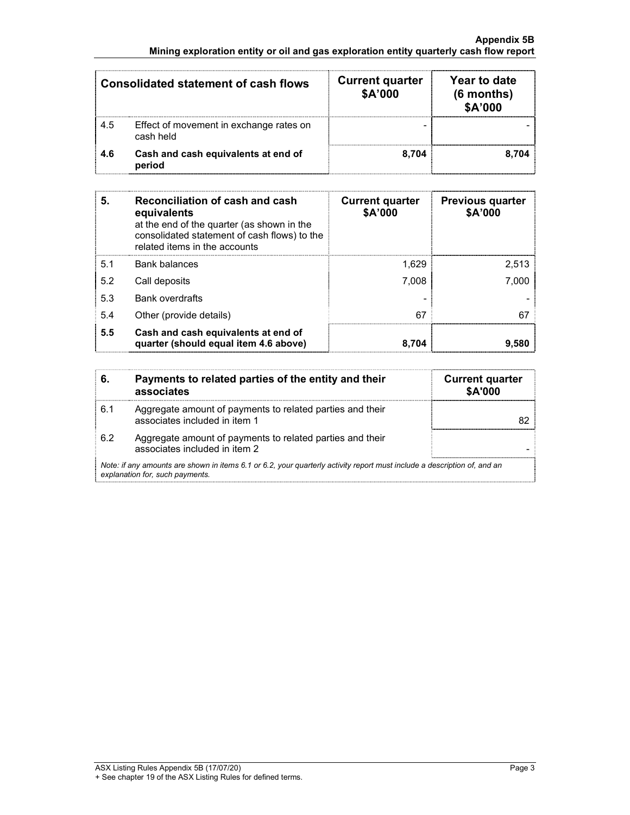### **Appendix 5B Mining exploration entity or oil and gas exploration entity quarterly cash flow report**

| <b>Consolidated statement of cash flows</b> |                                                      | <b>Current quarter</b><br>\$A'000 | Year to date<br>$(6$ months)<br>\$A'000 |
|---------------------------------------------|------------------------------------------------------|-----------------------------------|-----------------------------------------|
| 4.5                                         | Effect of movement in exchange rates on<br>cash held |                                   |                                         |
| 4.6                                         | Cash and cash equivalents at end of<br>period        | 8.704                             | 8.704                                   |

| 5.  | Reconciliation of cash and cash<br>equivalents<br>at the end of the quarter (as shown in the<br>consolidated statement of cash flows) to the<br>related items in the accounts | <b>Current quarter</b><br>\$A'000 | <b>Previous quarter</b><br>\$A'000 |
|-----|-------------------------------------------------------------------------------------------------------------------------------------------------------------------------------|-----------------------------------|------------------------------------|
| 5.1 | <b>Bank balances</b>                                                                                                                                                          | 1.629                             | 2.513                              |
| 5.2 | Call deposits                                                                                                                                                                 | 7.008                             | 7.000                              |
| 5.3 | <b>Bank overdrafts</b>                                                                                                                                                        |                                   |                                    |
| 5.4 | Other (provide details)                                                                                                                                                       | 67                                |                                    |
| 5.5 | Cash and cash equivalents at end of<br>quarter (should equal item 4.6 above)                                                                                                  | 8.704                             | 9.580                              |

| 6.  | Payments to related parties of the entity and their<br>associates                                                                                           | <b>Current quarter</b><br>\$A'000 |
|-----|-------------------------------------------------------------------------------------------------------------------------------------------------------------|-----------------------------------|
| 6.1 | Aggregate amount of payments to related parties and their<br>associates included in item 1                                                                  |                                   |
| 62  | Aggregate amount of payments to related parties and their<br>associates included in item 2                                                                  |                                   |
|     | Note: if any amounts are shown in items 6.1 or 6.2, your quarterly activity report must include a description of, and an<br>explanation for, such payments. |                                   |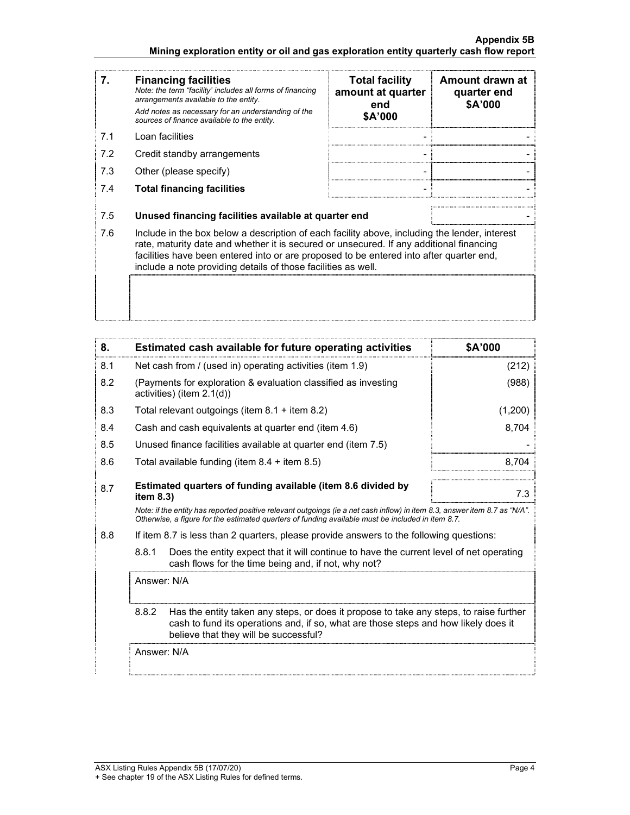### **Appendix 5B Mining exploration entity or oil and gas exploration entity quarterly cash flow report**

| 7.  | <b>Financing facilities</b><br>Note: the term "facility' includes all forms of financing<br>arrangements available to the entity.<br>Add notes as necessary for an understanding of the<br>sources of finance available to the entity.                                                                                                               | <b>Total facility</b><br>amount at quarter<br>end<br>\$A'000 | Amount drawn at<br>quarter end<br>\$A'000 |
|-----|------------------------------------------------------------------------------------------------------------------------------------------------------------------------------------------------------------------------------------------------------------------------------------------------------------------------------------------------------|--------------------------------------------------------------|-------------------------------------------|
| 7.1 | Loan facilities                                                                                                                                                                                                                                                                                                                                      |                                                              |                                           |
| 7.2 | Credit standby arrangements                                                                                                                                                                                                                                                                                                                          |                                                              |                                           |
| 7.3 | Other (please specify)                                                                                                                                                                                                                                                                                                                               |                                                              |                                           |
| 7.4 | <b>Total financing facilities</b>                                                                                                                                                                                                                                                                                                                    |                                                              |                                           |
|     |                                                                                                                                                                                                                                                                                                                                                      |                                                              |                                           |
| 7.5 | Unused financing facilities available at quarter end                                                                                                                                                                                                                                                                                                 |                                                              |                                           |
| 7.6 | Include in the box below a description of each facility above, including the lender, interest<br>rate, maturity date and whether it is secured or unsecured. If any additional financing<br>facilities have been entered into or are proposed to be entered into after quarter end,<br>include a note providing details of those facilities as well. |                                                              |                                           |
|     |                                                                                                                                                                                                                                                                                                                                                      |                                                              |                                           |

| 8.  |                                                                                                                                                                                                                                 | Estimated cash available for future operating activities                                                                                                                                                                        | \$A'000 |
|-----|---------------------------------------------------------------------------------------------------------------------------------------------------------------------------------------------------------------------------------|---------------------------------------------------------------------------------------------------------------------------------------------------------------------------------------------------------------------------------|---------|
| 8.1 | Net cash from / (used in) operating activities (item 1.9)                                                                                                                                                                       |                                                                                                                                                                                                                                 | (212)   |
| 8.2 |                                                                                                                                                                                                                                 | (Payments for exploration & evaluation classified as investing<br>activities) (item $2.1(d)$ )                                                                                                                                  | (988)   |
| 8.3 |                                                                                                                                                                                                                                 | Total relevant outgoings (item $8.1 +$ item $8.2$ )                                                                                                                                                                             | (1,200) |
| 8.4 |                                                                                                                                                                                                                                 | Cash and cash equivalents at quarter end (item 4.6)                                                                                                                                                                             | 8,704   |
| 8.5 |                                                                                                                                                                                                                                 | Unused finance facilities available at quarter end (item 7.5)                                                                                                                                                                   |         |
| 8.6 |                                                                                                                                                                                                                                 | Total available funding (item $8.4 +$ item $8.5$ )                                                                                                                                                                              | 8.704   |
| 8.7 | Estimated quarters of funding available (item 8.6 divided by<br>item $8.3$ )                                                                                                                                                    |                                                                                                                                                                                                                                 |         |
|     |                                                                                                                                                                                                                                 | Note: if the entity has reported positive relevant outgoings (ie a net cash inflow) in item 8.3, answer item 8.7 as "N/A".<br>Otherwise, a figure for the estimated quarters of funding available must be included in item 8.7. |         |
| 8.8 |                                                                                                                                                                                                                                 | If item 8.7 is less than 2 quarters, please provide answers to the following questions:                                                                                                                                         |         |
|     | 8.8.1<br>Does the entity expect that it will continue to have the current level of net operating<br>cash flows for the time being and, if not, why not?                                                                         |                                                                                                                                                                                                                                 |         |
|     | Answer: N/A                                                                                                                                                                                                                     |                                                                                                                                                                                                                                 |         |
|     | 8.8.2<br>Has the entity taken any steps, or does it propose to take any steps, to raise further<br>cash to fund its operations and, if so, what are those steps and how likely does it<br>believe that they will be successful? |                                                                                                                                                                                                                                 |         |
|     | Answer: N/A                                                                                                                                                                                                                     |                                                                                                                                                                                                                                 |         |
|     |                                                                                                                                                                                                                                 |                                                                                                                                                                                                                                 |         |